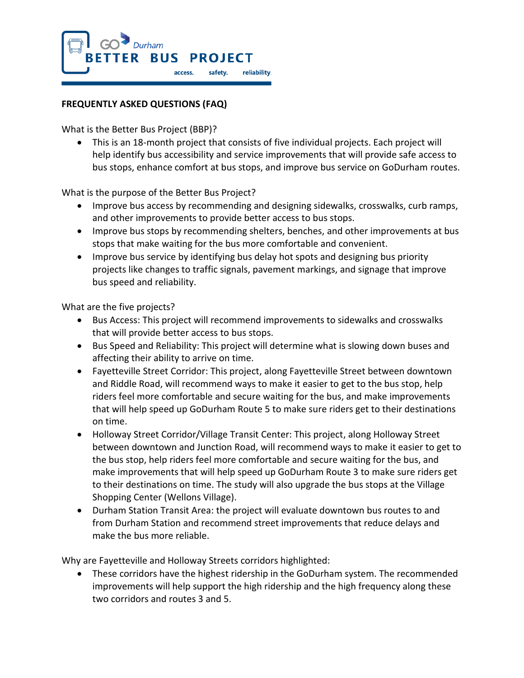

## **FREQUENTLY ASKED QUESTIONS (FAQ)**

What is the Better Bus Project (BBP)?

• This is an 18-month project that consists of five individual projects. Each project will help identify bus accessibility and service improvements that will provide safe access to bus stops, enhance comfort at bus stops, and improve bus service on GoDurham routes.

What is the purpose of the Better Bus Project?

- Improve bus access by recommending and designing sidewalks, crosswalks, curb ramps, and other improvements to provide better access to bus stops.
- Improve bus stops by recommending shelters, benches, and other improvements at bus stops that make waiting for the bus more comfortable and convenient.
- Improve bus service by identifying bus delay hot spots and designing bus priority projects like changes to traffic signals, pavement markings, and signage that improve bus speed and reliability.

What are the five projects?

- Bus Access: This project will recommend improvements to sidewalks and crosswalks that will provide better access to bus stops.
- Bus Speed and Reliability: This project will determine what is slowing down buses and affecting their ability to arrive on time.
- Fayetteville Street Corridor: This project, along Fayetteville Street between downtown and Riddle Road, will recommend ways to make it easier to get to the bus stop, help riders feel more comfortable and secure waiting for the bus, and make improvements that will help speed up GoDurham Route 5 to make sure riders get to their destinations on time.
- Holloway Street Corridor/Village Transit Center: This project, along Holloway Street between downtown and Junction Road, will recommend ways to make it easier to get to the bus stop, help riders feel more comfortable and secure waiting for the bus, and make improvements that will help speed up GoDurham Route 3 to make sure riders get to their destinations on time. The study will also upgrade the bus stops at the Village Shopping Center (Wellons Village).
- Durham Station Transit Area: the project will evaluate downtown bus routes to and from Durham Station and recommend street improvements that reduce delays and make the bus more reliable.

Why are Fayetteville and Holloway Streets corridors highlighted:

• These corridors have the highest ridership in the GoDurham system. The recommended improvements will help support the high ridership and the high frequency along these two corridors and routes 3 and 5.